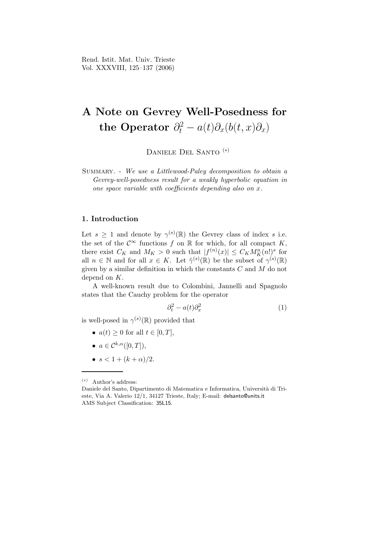# A Note on Gevrey Well-Posedness for the Operator  $\partial_t^2 - a(t)\partial_x(b(t,x)\partial_x)$

Daniele Del Santo (∗)

Summary. - We use a Littlewood-Paley decomposition to obtain a Gevrey-well-posedness result for a weakly hyperbolic equation in one space variable with coefficients depending also on x.

# 1. Introduction

Let  $s \geq 1$  and denote by  $\gamma^{(s)}(\mathbb{R})$  the Gevrey class of index s i.e. the set of the  $\mathcal{C}^{\infty}$  functions f on R for which, for all compact K, there exist  $C_K$  and  $M_K > 0$  such that  $|f^{(n)}(x)| \leq C_K M_K^n(n!)^s$  for all  $n \in \mathbb{N}$  and for all  $x \in K$ . Let  $\tilde{\gamma}^{(s)}(\mathbb{R})$  be the subset of  $\gamma^{(s)}(\mathbb{R})$ given by a similar definition in which the constants  $C$  and  $M$  do not depend on K.

A well-known result due to Colombini, Jannelli and Spagnolo states that the Cauchy problem for the operator

$$
\partial_t^2 - a(t)\partial_x^2 \tag{1}
$$

is well-posed in  $\gamma^{(s)}(\mathbb{R})$  provided that

- $a(t) \geq 0$  for all  $t \in [0, T]$ ,
- $a \in \mathcal{C}^{k,\alpha}([0,T])$ ,
- $s < 1 + (k + \alpha)/2$ .

<sup>(</sup>∗) Author's address:

Daniele del Santo, Dipartimento di Matematica e Informatica, Università di Trieste, Via A. Valerio 12/1, 34127 Trieste, Italy; E-mail: delsanto@units.it AMS Subject Classification: 35L15.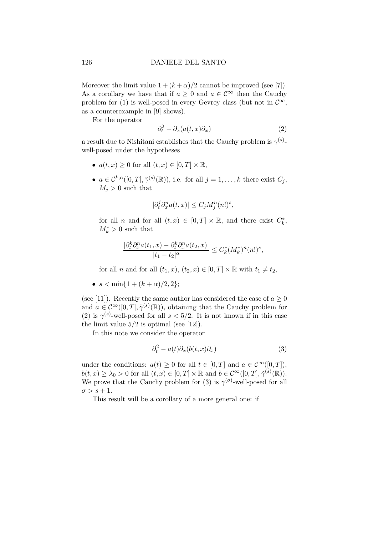### 126 DANIELE DEL SANTO

Moreover the limit value  $1 + (k + \alpha)/2$  cannot be improved (see [7]). As a corollary we have that if  $a \geq 0$  and  $a \in \mathcal{C}^{\infty}$  then the Cauchy problem for (1) is well-posed in every Gevrey class (but not in  $\mathcal{C}^{\infty}$ , as a counterexample in [9] shows).

For the operator

$$
\partial_t^2 - \partial_x(a(t, x)\partial_x) \tag{2}
$$

a result due to Nishitani establishes that the Cauchy problem is  $\gamma^{(s)}$ well-posed under the hypotheses

- $a(t,x) \geq 0$  for all  $(t,x) \in [0,T] \times \mathbb{R}$ ,
- $a \in \mathcal{C}^{k,\alpha}([0,T], \tilde{\gamma}^{(s)}(\mathbb{R}))$ , i.e. for all  $j = 1,\ldots,k$  there exist  $C_j$ ,  $M_i > 0$  such that

$$
|\partial_t^j \partial_x^n a(t, x)| \le C_j M_j^n (n!)^s,
$$

for all *n* and for all  $(t, x) \in [0, T] \times \mathbb{R}$ , and there exist  $C_k^*$ ,  $M_k^* > 0$  such that

$$
\frac{|\partial_t^k \partial_x^n a(t_1, x) - \partial_t^k \partial_x^n a(t_2, x)|}{|t_1 - t_2|^\alpha} \le C_k^* (M_k^*)^n (n!)^s,
$$

for all n and for all  $(t_1, x)$ ,  $(t_2, x) \in [0, T] \times \mathbb{R}$  with  $t_1 \neq t_2$ ,

•  $s < \min\{1 + (k + \alpha)/2, 2\};$ 

(see [11]). Recently the same author has considered the case of  $a \geq 0$ and  $a \in C^{\infty}([0,T], \tilde{\gamma}^{(s)}(\mathbb{R}))$ , obtaining that the Cauchy problem for (2) is  $\gamma^{(s)}$ -well-posed for all  $s < 5/2$ . It is not known if in this case the limit value  $5/2$  is optimal (see [12]).

In this note we consider the operator

$$
\partial_t^2 - a(t)\partial_x(b(t,x)\partial_x) \tag{3}
$$

under the conditions:  $a(t) \geq 0$  for all  $t \in [0, T]$  and  $a \in C^{\infty}([0, T]),$  $b(t,x) \geq \lambda_0 > 0$  for all  $(t,x) \in [0,T] \times \mathbb{R}$  and  $b \in C^{\infty}([0,T], \tilde{\gamma}^{(s)}(\mathbb{R}))$ . We prove that the Cauchy problem for (3) is  $\gamma^{(\sigma)}$ -well-posed for all  $\sigma > s+1$ .

This result will be a corollary of a more general one: if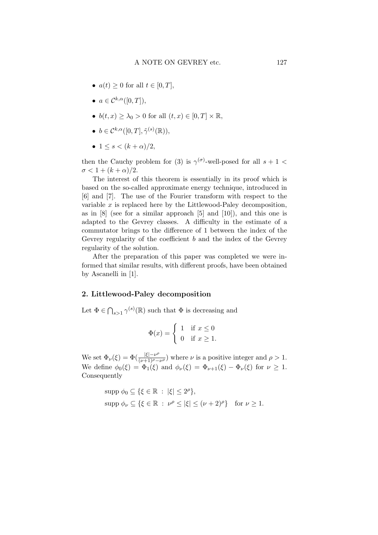- $a(t) \geq 0$  for all  $t \in [0, T]$ ,
- $a \in \mathcal{C}^{k,\alpha}([0,T]),$
- $b(t, x) \geq \lambda_0 > 0$  for all  $(t, x) \in [0, T] \times \mathbb{R}$ ,
- $b \in \mathcal{C}^{k,\alpha}([0,T], \tilde{\gamma}^{(s)}(\mathbb{R})),$
- $1 \leq s < (k+\alpha)/2$ ,

then the Cauchy problem for (3) is  $\gamma^{(\sigma)}$ -well-posed for all  $s + 1$  $\sigma < 1 + (k + \alpha)/2$ .

The interest of this theorem is essentially in its proof which is based on the so-called approximate energy technique, introduced in [6] and [7]. The use of the Fourier transform with respect to the variable  $x$  is replaced here by the Littlewood-Paley decomposition, as in [8] (see for a similar approach [5] and [10]), and this one is adapted to the Gevrey classes. A difficulty in the estimate of a commutator brings to the difference of 1 between the index of the Gevrey regularity of the coefficient  $b$  and the index of the Gevrey regularity of the solution.

After the preparation of this paper was completed we were informed that similar results, with different proofs, have been obtained by Ascanelli in [1].

#### 2. Littlewood-Paley decomposition

Let  $\Phi \in \bigcap_{s>1} \gamma^{(s)}(\mathbb{R})$  such that  $\Phi$  is decreasing and

$$
\Phi(x) = \begin{cases} 1 & \text{if } x \le 0 \\ 0 & \text{if } x \ge 1. \end{cases}
$$

We set  $\Phi_{\nu}(\xi) = \Phi(\frac{|\xi| - \nu^{\rho}}{(\nu+1)\rho - \nu})$  $\frac{|S|-\nu}{(\nu+1)\rho-\nu\rho}$  where  $\nu$  is a positive integer and  $\rho>1$ . We define  $\phi_0(\xi) = \Phi_1(\xi)$  and  $\phi_\nu(\xi) = \Phi_{\nu+1}(\xi) - \Phi_\nu(\xi)$  for  $\nu \geq 1$ . Consequently

$$
\text{supp } \phi_0 \subseteq \{ \xi \in \mathbb{R} \ : \ |\xi| \le 2^{\rho} \},
$$
  

$$
\text{supp } \phi_\nu \subseteq \{ \xi \in \mathbb{R} \ : \ \nu^{\rho} \le |\xi| \le (\nu + 2)^{\rho} \} \quad \text{for } \nu \ge 1.
$$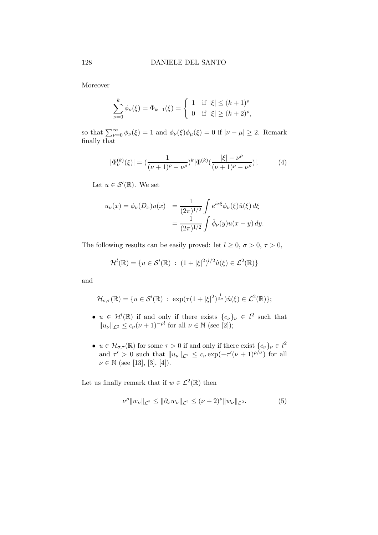Moreover

$$
\sum_{\nu=0}^{k} \phi_{\nu}(\xi) = \Phi_{k+1}(\xi) = \begin{cases} 1 & \text{if } |\xi| \le (k+1)^{\rho} \\ 0 & \text{if } |\xi| \ge (k+2)^{\rho}, \end{cases}
$$

so that  $\sum_{\nu=0}^{\infty} \phi_{\nu}(\xi) = 1$  and  $\phi_{\nu}(\xi)\phi_{\mu}(\xi) = 0$  if  $|\nu - \mu| \ge 2$ . Remark finally that

$$
|\Phi_{\nu}^{(k)}(\xi)| = \left(\frac{1}{(\nu+1)^{\rho} - \nu^{\rho}}\right)^k |\Phi^{(k)}(\frac{|\xi| - \nu^{\rho}}{(\nu+1)^{\rho} - \nu^{\rho}})|. \tag{4}
$$

Let  $u \in \mathcal{S}'(\mathbb{R})$ . We set

$$
u_{\nu}(x) = \phi_{\nu}(D_x)u(x) = \frac{1}{(2\pi)^{1/2}} \int e^{ix\xi} \phi_{\nu}(\xi) \hat{u}(\xi) d\xi
$$
  
= 
$$
\frac{1}{(2\pi)^{1/2}} \int \hat{\phi}_{\nu}(y) u(x - y) dy.
$$

The following results can be easily proved: let  $l \geq 0$ ,  $\sigma > 0$ ,  $\tau > 0$ ,

$$
\mathcal{H}^l(\mathbb{R}) = \{ u \in \mathcal{S}'(\mathbb{R}) : (1 + |\xi|^2)^{l/2} \hat{u}(\xi) \in \mathcal{L}^2(\mathbb{R}) \}
$$

and

$$
\mathcal{H}_{\sigma,\tau}(\mathbb{R}) = \{ u \in \mathcal{S}'(\mathbb{R}) \; : \; \exp(\tau(1+|\xi|^2)^{\frac{1}{2\sigma}}) \hat{u}(\xi) \in \mathcal{L}^2(\mathbb{R}) \};
$$

- $u \in \mathcal{H}^l(\mathbb{R})$  if and only if there exists  $\{c_{\nu}\}_{\nu} \in l^2$  such that  $||u_{\nu}||_{\mathcal{L}^2} \leq c_{\nu} (\nu + 1)^{-\rho l}$  for all  $\nu \in \mathbb{N}$  (see [2]);
- $u \in \mathcal{H}_{\sigma,\tau}(\mathbb{R})$  for some  $\tau > 0$  if and only if there exist  $\{c_{\nu}\}_{\nu} \in l^2$ and  $\tau' > 0$  such that  $||u_{\nu}||_{\mathcal{L}^2} \leq c_{\nu} \exp(-\tau'(\nu+1)^{\rho/\sigma})$  for all  $\nu \in \mathbb{N}$  (see [13], [3], [4]).

Let us finally remark that if  $w \in \mathcal{L}^2(\mathbb{R})$  then

$$
\nu^{\rho} \|w_{\nu}\|_{\mathcal{L}^{2}} \leq \|\partial_{x} w_{\nu}\|_{\mathcal{L}^{2}} \leq (\nu + 2)^{\rho} \|w_{\nu}\|_{\mathcal{L}^{2}}.
$$
 (5)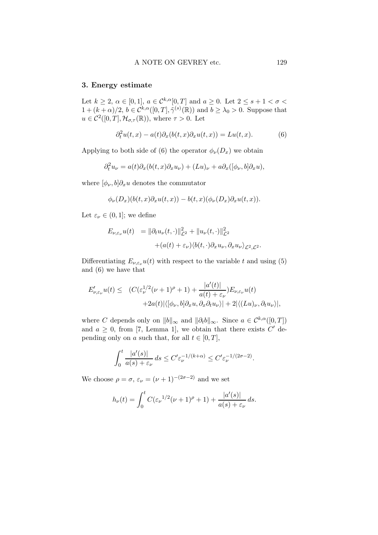## 3. Energy estimate

Let  $k \geq 2$ ,  $\alpha \in [0,1]$ ,  $a \in \mathcal{C}^{k,\alpha}[0,T]$  and  $a \geq 0$ . Let  $2 \leq s+1 < \sigma <$  $1 + (k + \alpha)/2$ ,  $b \in \mathcal{C}^{k,\alpha}([0,T], \tilde{\gamma}^{(s)}(\mathbb{R}))$  and  $b \geq \lambda_0 > 0$ . Suppose that  $u \in C^2([0,T], \mathcal{H}_{\sigma,\tau}(\mathbb{R}))$ , where  $\tau > 0$ . Let

$$
\partial_t^2 u(t,x) - a(t)\partial_x(b(t,x)\partial_x u(t,x)) = Lu(t,x). \tag{6}
$$

Applying to both side of (6) the operator  $\phi_{\nu}(D_x)$  we obtain

$$
\partial_t^2 u_\nu = a(t) \partial_x (b(t,x) \partial_x u_\nu) + (Lu)_\nu + a \partial_x ([\phi_\nu, b] \partial_x u),
$$

where  $[\phi_{\nu},b]\partial_x u$  denotes the commutator

$$
\phi_{\nu}(D_x)(b(t,x)\partial_x u(t,x)) - b(t,x)(\phi_{\nu}(D_x)\partial_x u(t,x)).
$$

Let  $\varepsilon_{\nu} \in (0,1]$ ; we define

$$
E_{\nu,\varepsilon_{\nu}}u(t) = ||\partial_t u_{\nu}(t,\cdot)||_{\mathcal{L}^2}^2 + ||u_{\nu}(t,\cdot)||_{\mathcal{L}^2}^2
$$
  
 
$$
+ (a(t) + \varepsilon_{\nu})\langle b(t,\cdot)\partial_x u_{\nu}, \partial_x u_{\nu}\rangle_{\mathcal{L}^2,\mathcal{L}^2}.
$$

Differentiating  $E_{\nu,\varepsilon_{\nu}}u(t)$  with respect to the variable t and using (5) and (6) we have that

$$
E'_{\nu,\varepsilon_{\nu}}u(t) \leq (C(\varepsilon_{\nu}^{1/2}(\nu+1)^{\rho}+1)+\frac{|a'(t)|}{a(t)+\varepsilon_{\nu}})E_{\nu,\varepsilon_{\nu}}u(t) +2a(t)|\langle[\phi_{\nu},b]\partial_xu,\partial_x\partial_t u_{\nu}\rangle|+2|\langle(Lu)_{\nu},\partial_t u_{\nu}\rangle|,
$$

where C depends only on  $||b||_{\infty}$  and  $||\partial_t b||_{\infty}$ . Since  $a \in C^{k,\alpha}([0,T])$ and  $a \geq 0$ , from [7, Lemma 1], we obtain that there exists C' depending only on a such that, for all  $t \in [0, T]$ ,

$$
\int_0^t \frac{|a'(s)|}{a(s) + \varepsilon_\nu} ds \le C' \varepsilon_\nu^{-1/(k+\alpha)} \le C' \varepsilon_\nu^{-1/(2\sigma-2)}.
$$

We choose  $\rho = \sigma$ ,  $\varepsilon_{\nu} = (\nu + 1)^{-(2\sigma - 2)}$  and we set

$$
h_{\nu}(t) = \int_0^t C(\varepsilon_{\nu}^{1/2}(\nu + 1)^{\rho} + 1) + \frac{|a'(s)|}{a(s) + \varepsilon_{\nu}} ds.
$$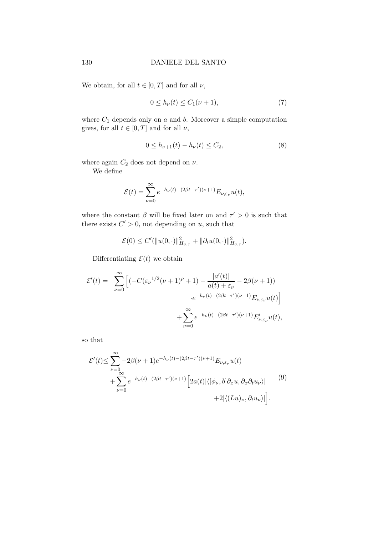We obtain, for all  $t \in [0, T]$  and for all  $\nu$ ,

$$
0 \le h_{\nu}(t) \le C_1(\nu + 1),\tag{7}
$$

where  $C_1$  depends only on  $a$  and  $b$ . Moreover a simple computation gives, for all  $t \in [0, T]$  and for all  $\nu$ ,

$$
0 \le h_{\nu+1}(t) - h_{\nu}(t) \le C_2,\tag{8}
$$

where again  $C_2$  does not depend on  $\nu$ .

We define

$$
\mathcal{E}(t) = \sum_{\nu=0}^{\infty} e^{-h_{\nu}(t) - (2\beta t - \tau')(\nu+1)} E_{\nu, \varepsilon_{\nu}} u(t),
$$

where the constant  $\beta$  will be fixed later on and  $\tau' > 0$  is such that there exists  $C' > 0$ , not depending on u, such that

$$
\mathcal{E}(0) \le C'(\|u(0,\cdot)\|_{H_{\sigma,\tau}}^2 + \|\partial_t u(0,\cdot)\|_{H_{\sigma,\tau}}^2).
$$

Differentiating  $\mathcal{E}(t)$  we obtain

$$
\mathcal{E}'(t) = \sum_{\nu=0}^{\infty} \left[ \left( -C(\varepsilon_{\nu}^{1/2}(\nu+1)^{\rho} + 1) - \frac{|a'(t)|}{a(t) + \varepsilon_{\nu}} - 2\beta(\nu+1) \right) \right. \\ \left. + \sum_{\nu=0}^{\infty} e^{-h_{\nu}(t) - (2\beta t - \tau')(\nu+1)} E_{\nu, \varepsilon_{\nu}} u(t) \right]
$$

so that

$$
\mathcal{E}'(t) \leq \sum_{\nu=0}^{\infty} -2\beta(\nu+1)e^{-h_{\nu}(t) - (2\beta t - \tau')(\nu+1)} E_{\nu,\varepsilon_{\nu}} u(t)
$$
  
+ 
$$
\sum_{\nu=0}^{\infty} e^{-h_{\nu}(t) - (2\beta t - \tau')(\nu+1)} \left[ 2a(t) |\langle [\phi_{\nu}, b] \partial_x u, \partial_x \partial_t u_{\nu} \rangle| \right] \tag{9}
$$
  
+2| $\langle (Lu)_{\nu}, \partial_t u_{\nu} \rangle|$ .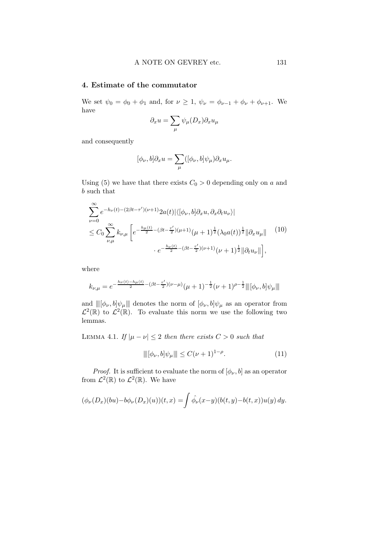## 4. Estimate of the commutator

We set  $\psi_0 = \phi_0 + \phi_1$  and, for  $\nu \ge 1$ ,  $\psi_{\nu} = \phi_{\nu-1} + \phi_{\nu} + \phi_{\nu+1}$ . We have

$$
\partial_x u = \sum_{\mu} \psi_{\mu}(D_x) \partial_x u_{\mu}
$$

and consequently

$$
[\phi_{\nu}, b]\partial_x u = \sum_{\mu} ([\phi_{\nu}, b]\psi_{\mu}) \partial_x u_{\mu}.
$$

Using (5) we have that there exists  $C_0 > 0$  depending only on a and b such that

$$
\sum_{\nu=0}^{\infty} e^{-h_{\nu}(t) - (2\beta t - \tau')(\nu+1)} 2a(t) |\langle [\phi_{\nu}, b] \partial_x u, \partial_x \partial_t u_{\nu} \rangle|
$$
  
\n
$$
\leq C_0 \sum_{\nu,\mu}^{\infty} k_{\nu,\mu} \left[ e^{-\frac{h_{\mu}(t)}{2} - (\beta t - \frac{\tau'}{2})(\mu+1)} (\mu+1)^{\frac{1}{2}} (\lambda_0 a(t))^{\frac{1}{2}} ||\partial_x u_{\mu}|| \right]^{(10)}
$$
  
\n
$$
\cdot e^{-\frac{h_{\nu}(t)}{2} - (\beta t - \frac{\tau'}{2})(\nu+1)} (\nu+1)^{\frac{1}{2}} ||\partial_t u_{\nu}||,
$$

where

$$
k_{\nu,\mu} = e^{-\frac{h_{\nu}(t) - h_{\mu}(t)}{2} - (\beta t - \frac{\tau'}{2})(\nu - \mu)} (\mu + 1)^{-\frac{1}{2}} (\nu + 1)^{\rho - \frac{1}{2}} \|\|\phi_{\nu}, b\|\psi_{\mu}\|\|
$$

and  $\|[\phi_{\nu},b]\psi_{\mu}\|$  denotes the norm of  $[\phi_{\nu},b]\psi_{\mu}$  as an operator from  $\mathcal{L}^2(\mathbb{R})$  to  $\mathcal{L}^2(\mathbb{R})$ . To evaluate this norm we use the following two lemmas.

LEMMA 4.1. If  $|\mu - \nu| \leq 2$  then there exists  $C > 0$  such that

$$
\| [\phi_{\nu}, b] \psi_{\mu} \| \le C(\nu + 1)^{1 - \rho}.
$$
 (11)

*Proof.* It is sufficient to evaluate the norm of  $[\phi_{\nu}, b]$  as an operator from  $\mathcal{L}^2(\mathbb{R})$  to  $\mathcal{L}^2(\mathbb{R})$ . We have

$$
(\phi_{\nu}(D_x)(bu)-b\phi_{\nu}(D_x)(u))(t,x)=\int \hat{\phi_{\nu}}(x-y)(b(t,y)-b(t,x))u(y)\,dy.
$$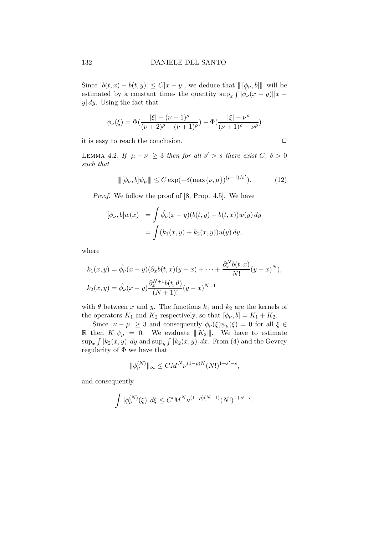Since  $|b(t,x) - b(t,y)| \leq C|x-y|$ , we deduce that  $\|[\phi_{\nu},b]\|$  will be estimated by a constant times the quantity  $\sup_x \int |\hat{\phi}_{\nu}(x-y)||x$  $y|$  dy. Using the fact that

$$
\phi_{\nu}(\xi) = \Phi\left(\frac{|\xi| - (\nu + 1)^{\rho}}{(\nu + 2)^{\rho} - (\nu + 1)^{\rho}}\right) - \Phi\left(\frac{|\xi| - \nu^{\rho}}{(\nu + 1)^{\rho} - \nu^{\rho}}\right)
$$

it is easy to reach the conclusion.  $\Box$ 

LEMMA 4.2. If  $|\mu - \nu| \geq 3$  then for all  $s' > s$  there exist  $C, \delta > 0$ such that

$$
\| [\phi_{\nu}, b] \psi_{\mu} \| \le C \exp(-\delta(\max\{\nu, \mu\})^{(\rho - 1)/s'}).
$$
 (12)

Proof. We follow the proof of [8, Prop. 4.5]. We have

$$
[\phi_{\nu}, b]w(x) = \int \hat{\phi}_{\nu}(x - y)(b(t, y) - b(t, x))w(y) dy
$$
  
= 
$$
\int (k_1(x, y) + k_2(x, y))u(y) dy,
$$

where

$$
k_1(x, y) = \hat{\phi}_{\nu}(x - y)(\partial_x b(t, x)(y - x) + \dots + \frac{\partial_x^N b(t, x)}{N!}(y - x)^N),
$$
  

$$
k_2(x, y) = \hat{\phi}_{\nu}(x - y)\frac{\partial_x^{N+1}b(t, \theta)}{(N+1)!}(y - x)^{N+1}
$$

with  $\theta$  between x and y. The functions  $k_1$  and  $k_2$  are the kernels of the operators  $K_1$  and  $K_2$  respectively, so that  $[\phi_{\nu}, b] = K_1 + K_2$ .

Since  $|\nu - \mu| \geq 3$  and consequently  $\phi_{\nu}(\xi)\psi_{\mu}(\xi) = 0$  for all  $\xi \in$ R then  $K_1\psi_\mu = 0$ . We evaluate  $|||K_2|||$ . We have to estimate  $\sup_x \int |k_2(x,y)| dy$  and  $\sup_y \int |k_2(x,y)| dx$ . From (4) and the Gevrey regularity of Φ we have that

$$
\|\phi_{\nu}^{(N)}\|_{\infty}\leq CM^{N}\nu^{(1-\rho)N}(N!)^{1+s'-s},
$$

and consequently

$$
\int |\phi_{\nu}^{(N)}(\xi)| d\xi \le C'M^N \nu^{(1-\rho)(N-1)}(N!)^{1+s'-s}.
$$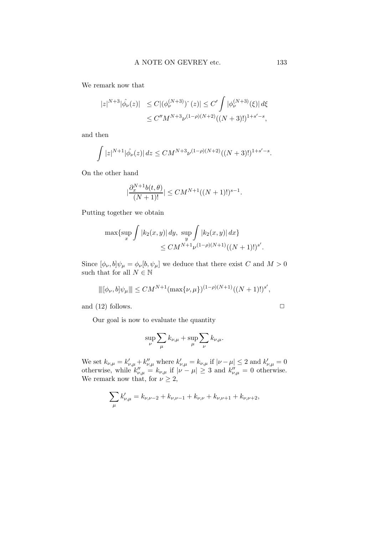We remark now that

$$
\begin{aligned} |z|^{N+3} |\hat{\phi}_{\nu}(z)| &\leq C |(\phi_{\nu}^{(N+3)})^{\hat{}}(z)| \leq C' \int |\phi_{\nu}^{(N+3)}(\xi)| \, d\xi \\ &\leq C'' M^{N+3} \nu^{(1-\rho)(N+2)} ((N+3)!)^{1+s'-s}, \end{aligned}
$$

and then

$$
\int |z|^{N+1} |\hat{\phi}_{\nu}(z)| dz \leq CM^{N+3} \nu^{(1-\rho)(N+2)} ((N+3)!)^{1+s'-s}.
$$

On the other hand

$$
\left|\frac{\partial_x^{N+1}b(t,\theta)}{(N+1)!}\right| \le CM^{N+1}((N+1)!)^{s-1}.
$$

Putting together we obtain

$$
\max\{\sup_x \int |k_2(x,y)| dy, \sup_y \int |k_2(x,y)| dx\}
$$
  
\n
$$
\leq CM^{N+1} \nu^{(1-\rho)(N+1)} ((N+1)!)^{s'}.
$$

Since  $[\phi_{\nu},b]\psi_{\mu} = \phi_{\nu}[b,\psi_{\mu}]$  we deduce that there exist C and  $M > 0$ such that for all  $N\in\mathbb{N}$ 

$$
\| [ \phi_{\nu}, b] \psi_{\mu} \| \| \leq C M^{N+1} (\max \{ \nu, \mu \})^{(1-\rho)(N+1)} ((N+1)!)^{s'},
$$

and (12) follows.  $\Box$ 

Our goal is now to evaluate the quantity

$$
\sup_{\nu} \sum_{\mu} k_{\nu,\mu} + \sup_{\mu} \sum_{\nu} k_{\nu,\mu}.
$$

We set  $k_{\nu,\mu} = k'_{\nu,\mu} + k''_{\nu,\mu}$  where  $k'_{\nu,\mu} = k_{\nu,\mu}$  if  $|\nu - \mu| \leq 2$  and  $k'_{\nu,\mu} = 0$ otherwise, while  $k''_{\nu,\mu} = k_{\nu,\mu}$  if  $|\nu - \mu| \geq 3$  and  $k''_{\nu,\mu} = 0$  otherwise. We remark now that, for  $\nu \geq 2$ ,

$$
\sum_{\mu} k'_{\nu,\mu} = k_{\nu,\nu-2} + k_{\nu,\nu-1} + k_{\nu,\nu} + k_{\nu,\nu+1} + k_{\nu,\nu+2},
$$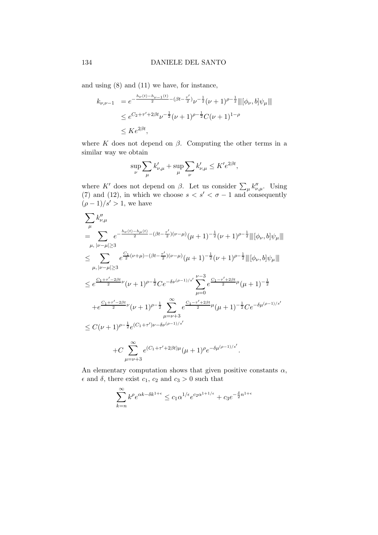and using (8) and (11) we have, for instance,

$$
k_{\nu,\nu-1} = e^{-\frac{h_{\nu}(t) - h_{\nu-1}(t)}{2} - (\beta t - \frac{\tau'}{2})} \nu^{-\frac{1}{2}} (\nu + 1)^{\rho - \frac{1}{2}} \|\phi_{\nu}, b]\psi_{\mu}\|
$$
  
\n
$$
\leq e^{C_2 + \tau' + 2\beta t} \nu^{-\frac{1}{2}} (\nu + 1)^{\rho - \frac{1}{2}} C(\nu + 1)^{1-\rho}
$$
  
\n
$$
\leq K e^{2\beta t},
$$

where K does not depend on  $\beta$ . Computing the other terms in a similar way we obtain

$$
\sup_{\nu} \sum_{\mu} k'_{\nu,\mu} + \sup_{\mu} \sum_{\nu} k'_{\nu,\mu} \leq K' e^{2\beta t},
$$

where K' does not depend on  $\beta$ . Let us consider  $\sum_{\mu} k''_{\nu,\mu}$ . Using (7) and (12), in which we choose  $s < s' < \sigma - 1$  and consequently  $(\rho - 1)/s' > 1$ , we have

$$
\sum_{\mu} k_{\nu,\mu}''
$$
\n
$$
= \sum_{\mu, |\nu-\mu| \ge 3} e^{-\frac{h_{\nu}(t)-h_{\mu}(t)}{2} - (\beta t - \frac{\tau'}{2})(\nu-\mu)} (\mu+1)^{-\frac{1}{2}}(\nu+1)^{\rho-\frac{1}{2}} \|\|\phi_{\nu}, b\|\psi_{\mu}\|\|
$$
\n
$$
\le \sum_{\mu, |\nu-\mu| \ge 3} e^{\frac{C_1}{2}(\nu+\mu) - (\beta t - \frac{\tau'}{2})(\nu-\mu)} (\mu+1)^{-\frac{1}{2}}(\nu+1)^{\rho-\frac{1}{2}} \|\|\phi_{\nu}, b\|\psi_{\mu}\|\|
$$
\n
$$
\le e^{\frac{C_1+\tau'-2\beta t}{2}\nu} (\nu+1)^{\rho-\frac{1}{2}} C e^{-\delta\nu^{(\rho-1)/s'}} \sum_{\mu=0}^{\nu-3} e^{\frac{C_1-\tau'+2\beta t}{2}\mu} (\mu+1)^{-\frac{1}{2}}
$$
\n
$$
+ e^{\frac{C_1+\tau'-2\beta t}{2}\nu} (\nu+1)^{\rho-\frac{1}{2}} \sum_{\mu=\nu+3}^{\infty} e^{\frac{C_1-\tau'+2\beta t}{2}\mu} (\mu+1)^{-\frac{1}{2}} C e^{-\delta\mu^{(\rho-1)/s'}}
$$
\n
$$
\le C(\nu+1)^{\rho-\frac{1}{2}} e^{(C_1+\tau')\nu-\delta\nu^{(\rho-1)/s'}}
$$
\n
$$
+ C \sum_{\mu=\nu+3}^{\infty} e^{(C_1+\tau'+2\beta t)\mu} (\mu+1)^{\rho} e^{-\delta\mu^{(\rho-1)/s'}}.
$$

An elementary computation shows that given positive constants  $\alpha$ ,  $\epsilon$  and  $\delta$ , there exist  $c_1$ ,  $c_2$  and  $c_3 > 0$  such that

$$
\sum_{k=n}^{\infty} k^{\rho} e^{\alpha k - \delta k^{1+\epsilon}} \le c_1 \alpha^{1/\epsilon} e^{c_2 \alpha^{1+1/\epsilon}} + c_3 e^{-\frac{\delta}{2} n^{1+\epsilon}}
$$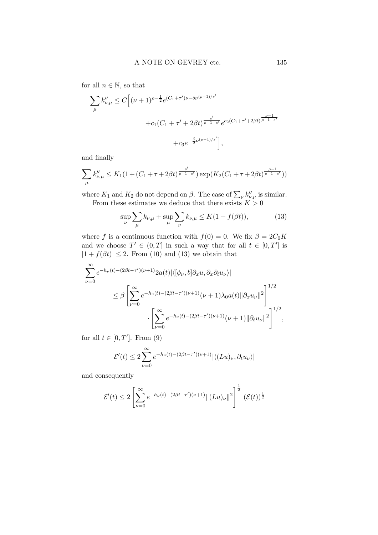for all  $n \in \mathbb{N}$ , so that

$$
\sum_{\mu} k_{\nu,\mu}'' \le C \Big[ (\nu+1)^{\rho-\frac{1}{2}} e^{(C_1+\tau')\nu-\delta\nu^{(\rho-1)/s'}} \n+ c_1(C_1+\tau'+2\beta t)^{\frac{s'}{\rho-1-s'}} e^{c_2(C_1+\tau'+2\beta t)^{\frac{\rho-1}{\rho-1-s'}}} \n+ c_3 e^{-\frac{\delta}{2}\nu^{(\rho-1)/s'}} \Big],
$$

and finally

$$
\sum_{\mu} k''_{\nu,\mu} \le K_1 \left( 1 + (C_1 + \tau + 2\beta t)^{\frac{s'}{\rho - 1 - s'}} \right) \exp(K_2(C_1 + \tau + 2\beta t)^{\frac{\rho - 1}{\rho - 1 - s'}}))
$$

where  $K_1$  and  $K_2$  do not depend on  $\beta$ . The case of  $\sum_{\nu} k''_{\nu,\mu}$  is similar. From these estimates we deduce that there exists  $K > 0$ 

$$
\sup_{\nu} \sum_{\mu} k_{\nu,\mu} + \sup_{\mu} \sum_{\nu} k_{\nu,\mu} \le K(1 + f(\beta t)),
$$
 (13)

where f is a continuous function with  $f(0) = 0$ . We fix  $\beta = 2C_0K$ and we choose  $T' \in (0,T]$  in such a way that for all  $t \in [0,T']$  is  $|1 + f(\beta t)| \le 2$ . From (10) and (13) we obtain that

$$
\sum_{\nu=0}^{\infty} e^{-h_{\nu}(t) - (2\beta t - \tau')(\nu+1)} 2a(t) |\langle [\phi_{\nu}, b] \partial_x u, \partial_x \partial_t u_{\nu} \rangle|
$$
  

$$
\leq \beta \left[ \sum_{\nu=0}^{\infty} e^{-h_{\nu}(t) - (2\beta t - \tau')(\nu+1)} (\nu+1) \lambda_0 a(t) ||\partial_x u_{\nu}||^2 \right]^{1/2}
$$
  

$$
\cdot \left[ \sum_{\nu=0}^{\infty} e^{-h_{\nu}(t) - (2\beta t - \tau')(\nu+1)} (\nu+1) ||\partial_t u_{\nu}||^2 \right]^{1/2},
$$

for all  $t \in [0, T']$ . From (9)

$$
\mathcal{E}'(t) \le 2\sum_{\nu=0}^{\infty} e^{-h_{\nu}(t) - (2\beta t - \tau')(\nu+1)} |\langle (Lu)_{\nu}, \partial_t u_{\nu} \rangle|
$$

and consequently

$$
\mathcal{E}'(t) \le 2 \left[ \sum_{\nu=0}^{\infty} e^{-h_{\nu}(t) - (2\beta t - \tau')(\nu+1)} \| (Lu)_{\nu} \|^2 \right]^{\frac{1}{2}} (\mathcal{E}(t))^{\frac{1}{2}}
$$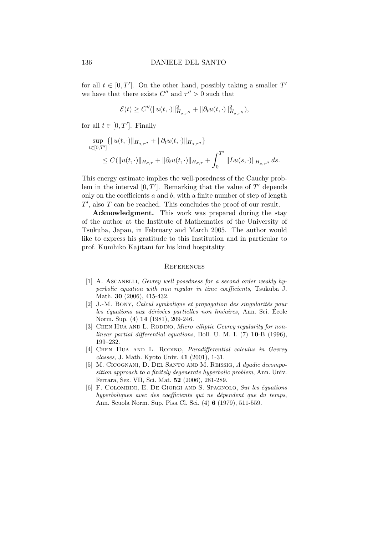for all  $t \in [0, T']$ . On the other hand, possibly taking a smaller T' we have that there exists  $C''$  and  $\tau'' > 0$  such that

$$
\mathcal{E}(t) \ge C''(\|u(t,\cdot)\|_{H_{\sigma,\tau''}}^2 + \|\partial_t u(t,\cdot)\|_{H_{\sigma,\tau''}}^2),
$$

for all  $t \in [0, T']$ . Finally

$$
\sup_{t \in [0,T']} \{ \|u(t, \cdot)\|_{H_{\sigma,\tau''}} + \|\partial_t u(t, \cdot)\|_{H_{\sigma,\tau''}} \}
$$
  
\n
$$
\leq C(\|u(t, \cdot)\|_{H_{\sigma,\tau}} + \|\partial_t u(t, \cdot)\|_{H_{\sigma,\tau}} + \int_0^{T'} \|Lu(s, \cdot)\|_{H_{\sigma,\tau''}} ds.
$$

This energy estimate implies the well-posedness of the Cauchy problem in the interval  $[0, T']$ . Remarking that the value of  $T'$  depends only on the coefficients  $a$  and  $b$ , with a finite number of step of length  $T'$ , also  $T$  can be reached. This concludes the proof of our result.

Acknowledgment. This work was prepared during the stay of the author at the Institute of Mathematics of the University of Tsukuba, Japan, in February and March 2005. The author would like to express his gratitude to this Institution and in particular to prof. Kunihiko Kajitani for his kind hospitality.

#### **REFERENCES**

- [1] A. ASCANELLI, Gevrey well posedness for a second order weakly hyperbolic equation with non regular in time coefficients, Tsukuba J. Math. 30 (2006), 415-432.
- $[2]$  J.-M. BONY, Calcul symbolique et propagation des singularités pour les équations aux dérivées partielles non linéaires, Ann. Sci. École Norm. Sup. (4) 14 (1981), 209-246.
- [3] CHEN HUA AND L. RODINO, *Micro–elliptic Gevrey regularity for non*linear partial differential equations, Boll. U. M. I. (7) 10-B (1996), 199–232.
- [4] CHEN HUA AND L. RODINO, *Paradifferential calculus in Gevrey* classes, J. Math. Kyoto Univ. 41 (2001), 1-31.
- [5] M. Cicognani, D. Del Santo and M. Reissig, A dyadic decomposition approach to a finitely degenerate hyperbolic problem, Ann. Univ. Ferrara, Sez. VII, Sci. Mat. 52 (2006), 281-289.
- [6] F. COLOMBINI, E. DE GIORGI AND S. SPAGNOLO, Sur les équations hyperboliques avec des coefficients qui ne dépendent que du temps, Ann. Scuola Norm. Sup. Pisa Cl. Sci. (4) 6 (1979), 511-559.